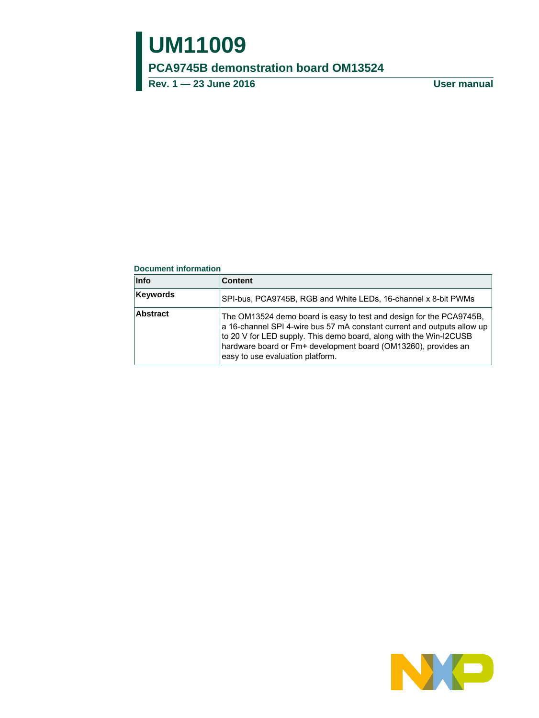# **UM11009**

**PCA9745B demonstration board OM13524**

**Rev. 1 — 23 June 2016 User manual**

#### **Document information**

| <b>Info</b>     | <b>Content</b>                                                                                                                                                                                                                                                                                                             |
|-----------------|----------------------------------------------------------------------------------------------------------------------------------------------------------------------------------------------------------------------------------------------------------------------------------------------------------------------------|
| <b>Keywords</b> | SPI-bus, PCA9745B, RGB and White LEDs, 16-channel x 8-bit PWMs                                                                                                                                                                                                                                                             |
| Abstract        | The OM13524 demo board is easy to test and design for the PCA9745B.<br>a 16-channel SPI 4-wire bus 57 mA constant current and outputs allow up<br>to 20 V for LED supply. This demo board, along with the Win-I2CUSB<br>hardware board or Fm+ development board (OM13260), provides an<br>easy to use evaluation platform. |

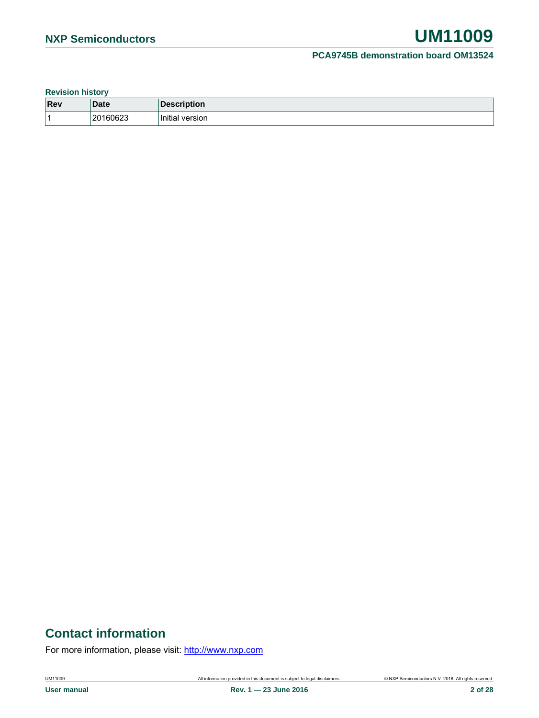**Revision history**

| Rev | Date                | Description<br>ிடி<…    |
|-----|---------------------|-------------------------|
|     | 160623<br>201<br>∠∪ | .<br>Initial<br>version |

### **Contact information**

For more information, please visit: http://www.nxp.com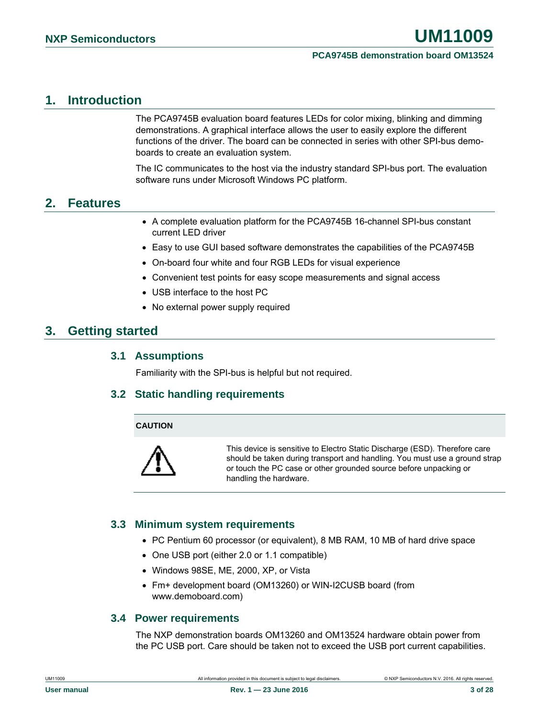### <span id="page-2-0"></span>**1. Introduction**

The PCA9745B evaluation board features LEDs for color mixing, blinking and dimming demonstrations. A graphical interface allows the user to easily explore the different functions of the driver. The board can be connected in series with other SPI-bus demoboards to create an evaluation system.

The IC communicates to the host via the industry standard SPI-bus port. The evaluation software runs under Microsoft Windows PC platform.

### <span id="page-2-1"></span>**2. Features**

- A complete evaluation platform for the PCA9745B 16-channel SPI-bus constant current LED driver
- Easy to use GUI based software demonstrates the capabilities of the PCA9745B
- On-board four white and four RGB LEDs for visual experience
- Convenient test points for easy scope measurements and signal access
- USB interface to the host PC
- No external power supply required

### <span id="page-2-2"></span>**3. Getting started**

#### <span id="page-2-3"></span>**3.1 Assumptions**

<span id="page-2-4"></span>Familiarity with the SPI-bus is helpful but not required.

### **3.2 Static handling requirements**

#### **CAUTION**



This device is sensitive to Electro Static Discharge (ESD). Therefore care should be taken during transport and handling. You must use a ground strap or touch the PC case or other grounded source before unpacking or handling the hardware.

### <span id="page-2-5"></span>**3.3 Minimum system requirements**

- PC Pentium 60 processor (or equivalent), 8 MB RAM, 10 MB of hard drive space
- One USB port (either 2.0 or 1.1 compatible)
- Windows 98SE, ME, 2000, XP, or Vista
- <span id="page-2-6"></span>• Fm+ development board (OM13260) or WIN-I2CUSB board (from www.demoboard.com)

### **3.4 Power requirements**

The NXP demonstration boards OM13260 and OM13524 hardware obtain power from the PC USB port. Care should be taken not to exceed the USB port current capabilities.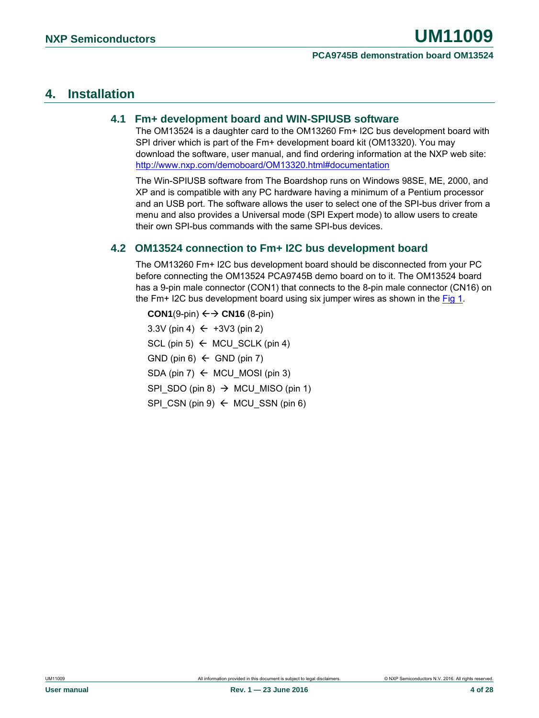### <span id="page-3-1"></span>**4. Installation**

### **4.1 Fm+ development board and WIN-SPIUSB software**

<span id="page-3-2"></span>The OM13524 is a daughter card to the OM13260 Fm+ I2C bus development board with SPI driver which is part of the Fm+ development board kit (OM13320). You may download the software, user manual, and find ordering information at the NXP web site: [http://www.nxp.com/demoboard/OM13320.html#documentation](http://www.nxp.com/demoboard/OM13320.html%23documentation)

The Win-SPIUSB software from The Boardshop runs on Windows 98SE, ME, 2000, and XP and is compatible with any PC hardware having a minimum of a Pentium processor and an USB port. The software allows the user to select one of the SPI-bus driver from a menu and also provides a Universal mode (SPI Expert mode) to allow users to create their own SPI-bus commands with the same SPI-bus devices.

### <span id="page-3-0"></span>**4.2 OM13524 connection to Fm+ I2C bus development board**

The OM13260 Fm+ I2C bus development board should be disconnected from your PC before connecting the OM13524 PCA9745B demo board on to it. The OM13524 board has a 9-pin male connector (CON1) that connects to the 8-pin male connector (CN16) on the Fm+ I2C bus development board using six jumper wires as shown in the  $Fig 1$ .

**CON1**(9-pin)  $\leftarrow$   $\rightarrow$  **CN16** (8-pin) 3.3V (pin 4)  $\leftarrow$  +3V3 (pin 2)  $SCL$  (pin 5)  $\leftarrow$  MCU SCLK (pin 4)  $GND$  (pin 6)  $\leftarrow$  GND (pin 7) SDA (pin 7)  $\leftarrow$  MCU MOSI (pin 3) SPI\_SDO (pin 8)  $\rightarrow$  MCU\_MISO (pin 1) SPI CSN (pin 9)  $\leftarrow$  MCU SSN (pin 6)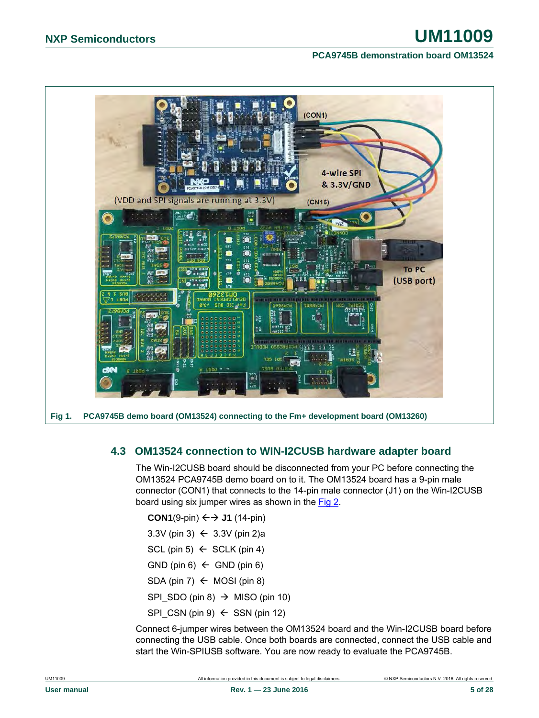

### <span id="page-4-1"></span><span id="page-4-0"></span>**4.3 OM13524 connection to WIN-I2CUSB hardware adapter board**

The Win-I2CUSB board should be disconnected from your PC before connecting the OM13524 PCA9745B demo board on to it. The OM13524 board has a 9-pin male connector (CON1) that connects to the 14-pin male connector (J1) on the Win-I2CUSB board using six jumper wires as shown in the [Fig 2.](#page-5-0)

**CON1**(9-pin)  $\leftarrow$   $\rightarrow$  J1 (14-pin)

- 3.3V (pin 3)  $\leftarrow$  3.3V (pin 2)a
- SCL (pin 5)  $\leftarrow$  SCLK (pin 4)
- GND (pin 6)  $\leftarrow$  GND (pin 6)
- SDA (pin 7)  $\leftarrow$  MOSI (pin 8)
- SPI\_SDO (pin 8)  $\rightarrow$  MISO (pin 10)
- $SPI_CSN$  (pin 9)  $\leftarrow$  SSN (pin 12)

Connect 6-jumper wires between the OM13524 board and the Win-I2CUSB board before connecting the USB cable. Once both boards are connected, connect the USB cable and start the Win-SPIUSB software. You are now ready to evaluate the PCA9745B.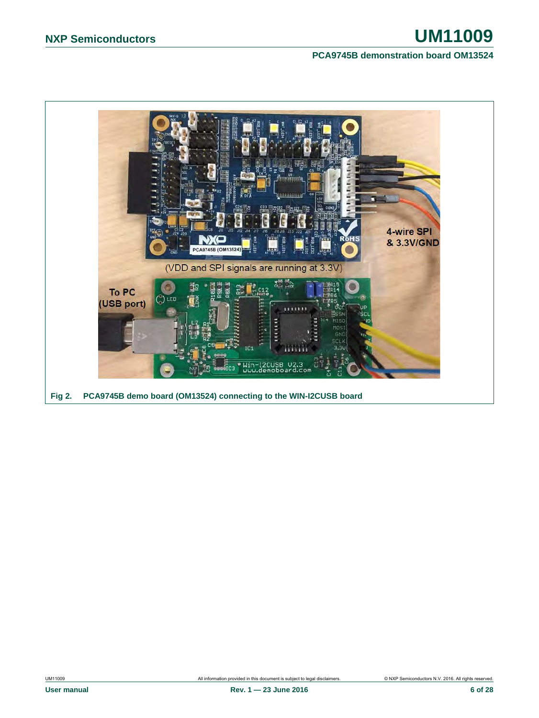<span id="page-5-0"></span>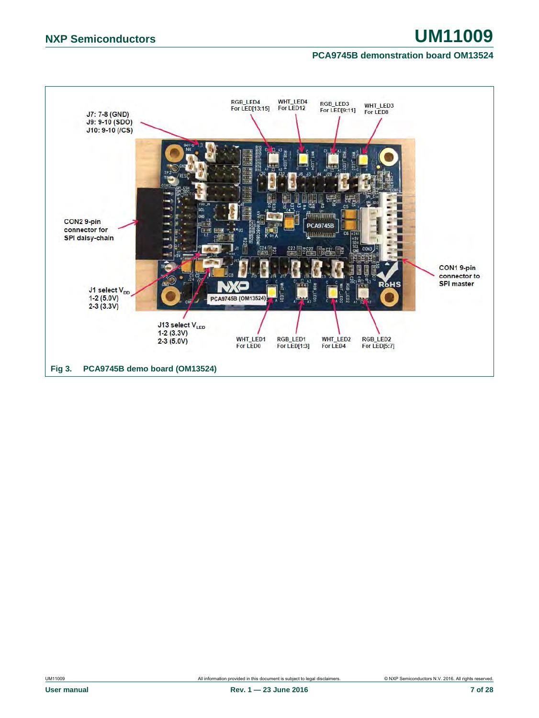<span id="page-6-0"></span>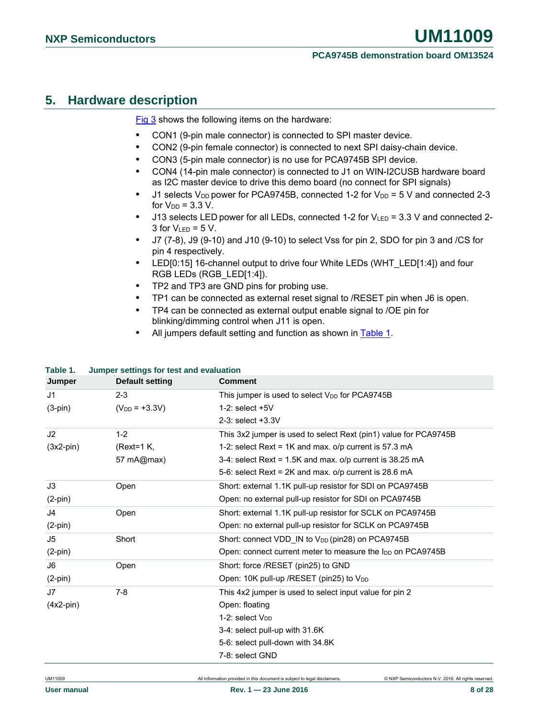### <span id="page-7-1"></span>**5. Hardware description**

[Fig 3](#page-6-0) shows the following items on the hardware:

- **•** CON1 (9-pin male connector) is connected to SPI master device.
- **•** CON2 (9-pin female connector) is connected to next SPI daisy-chain device.
- **•** CON3 (5-pin male connector) is no use for PCA9745B SPI device.
- **•** CON4 (14-pin male connector) is connected to J1 on WIN-I2CUSB hardware board as I2C master device to drive this demo board (no connect for SPI signals)
- J1 selects V<sub>DD</sub> power for PCA9745B, connected 1-2 for V<sub>DD</sub> = 5 V and connected 2-3 for  $V_{DD} = 3.3 V$ .
- **•** J13 selects LED power for all LEDs, connected 1-2 for VLED = 3.3 V and connected 2- 3 for  $V_{LED} = 5 V$ .
- **•** J7 (7-8), J9 (9-10) and J10 (9-10) to select Vss for pin 2, SDO for pin 3 and /CS for pin 4 respectively.
- **•** LED[0:15] 16-channel output to drive four White LEDs (WHT\_LED[1:4]) and four RGB LEDs (RGB\_LED[1:4]).
- **•** TP2 and TP3 are GND pins for probing use.
- **•** TP1 can be connected as external reset signal to /RESET pin when J6 is open.
- **•** TP4 can be connected as external output enable signal to /OE pin for blinking/dimming control when J11 is open.
- **•** All jumpers default setting and function as shown in [Table 1.](#page-7-0)

#### <span id="page-7-0"></span>**Table 1. Jumper settings for test and evaluation**

| Jumper         | Default setting    | <b>Comment</b>                                                         |
|----------------|--------------------|------------------------------------------------------------------------|
| J <sub>1</sub> | $2 - 3$            | This jumper is used to select V <sub>DD</sub> for PCA9745B             |
| $(3-pin)$      | $(V_{DD} = +3.3V)$ | $1-2$ : select $+5V$                                                   |
|                |                    | 2-3: select +3.3V                                                      |
| J2             | $1 - 2$            | This 3x2 jumper is used to select Rext (pin1) value for PCA9745B       |
| $(3x2-pin)$    | $(Text=1 K,$       | 1-2: select Rext = 1K and max. o/p current is 57.3 mA                  |
|                | 57 mA@max)         | 3-4: select Rext = 1.5K and max. o/p current is 38.25 mA               |
|                |                    | 5-6: select Rext = $2K$ and max. $o/p$ current is 28.6 mA              |
| J3             | Open               | Short: external 1.1K pull-up resistor for SDI on PCA9745B              |
| $(2-pin)$      |                    | Open: no external pull-up resistor for SDI on PCA9745B                 |
| J <sub>4</sub> | Open               | Short: external 1.1K pull-up resistor for SCLK on PCA9745B             |
| $(2-pin)$      |                    | Open: no external pull-up resistor for SCLK on PCA9745B                |
| J5             | Short              | Short: connect VDD_IN to V <sub>DD</sub> (pin28) on PCA9745B           |
| $(2-pin)$      |                    | Open: connect current meter to measure the I <sub>DD</sub> on PCA9745B |
| J6             | Open               | Short: force /RESET (pin25) to GND                                     |
| $(2-pin)$      |                    | Open: 10K pull-up / RESET (pin25) to V <sub>DD</sub>                   |
| J7             | $7 - 8$            | This 4x2 jumper is used to select input value for pin 2                |
| $(4x2-pin)$    |                    | Open: floating                                                         |
|                |                    | 1-2: select V <sub>DD</sub>                                            |
|                |                    | 3-4: select pull-up with 31.6K                                         |
|                |                    | 5-6: select pull-down with 34.8K                                       |
|                |                    | 7-8: select GND                                                        |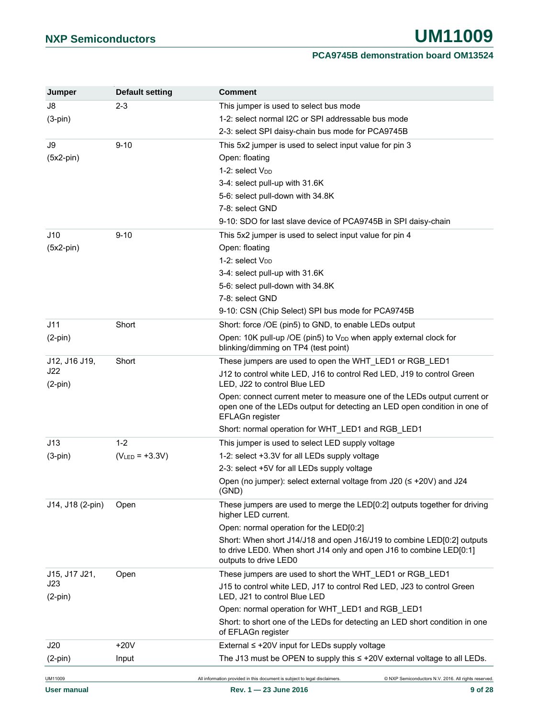| Jumper           | Default setting     | <b>Comment</b>                                                                                                                                                           |
|------------------|---------------------|--------------------------------------------------------------------------------------------------------------------------------------------------------------------------|
| J8               | $2 - 3$             | This jumper is used to select bus mode                                                                                                                                   |
| $(3-pin)$        |                     | 1-2: select normal I2C or SPI addressable bus mode                                                                                                                       |
|                  |                     | 2-3: select SPI daisy-chain bus mode for PCA9745B                                                                                                                        |
| J9               | $9 - 10$            | This 5x2 jumper is used to select input value for pin 3                                                                                                                  |
| $(5x2-pin)$      |                     | Open: floating                                                                                                                                                           |
|                  |                     | 1-2: select V <sub>DD</sub>                                                                                                                                              |
|                  |                     | 3-4: select pull-up with 31.6K                                                                                                                                           |
|                  |                     | 5-6: select pull-down with 34.8K                                                                                                                                         |
|                  |                     | 7-8: select GND                                                                                                                                                          |
|                  |                     | 9-10: SDO for last slave device of PCA9745B in SPI daisy-chain                                                                                                           |
| J10              | $9 - 10$            | This 5x2 jumper is used to select input value for pin 4                                                                                                                  |
| $(5x2-pin)$      |                     | Open: floating                                                                                                                                                           |
|                  |                     | 1-2: select V <sub>DD</sub>                                                                                                                                              |
|                  |                     | 3-4: select pull-up with 31.6K                                                                                                                                           |
|                  |                     | 5-6: select pull-down with 34.8K                                                                                                                                         |
|                  |                     | 7-8: select GND                                                                                                                                                          |
|                  |                     | 9-10: CSN (Chip Select) SPI bus mode for PCA9745B                                                                                                                        |
| J11              | Short               | Short: force /OE (pin5) to GND, to enable LEDs output                                                                                                                    |
| $(2-pin)$        |                     | Open: 10K pull-up /OE (pin5) to V <sub>DD</sub> when apply external clock for                                                                                            |
|                  |                     | blinking/dimming on TP4 (test point)                                                                                                                                     |
| J12, J16 J19,    | Short               | These jumpers are used to open the WHT_LED1 or RGB_LED1                                                                                                                  |
| J22<br>$(2-pin)$ |                     | J12 to control white LED, J16 to control Red LED, J19 to control Green<br>LED, J22 to control Blue LED                                                                   |
|                  |                     | Open: connect current meter to measure one of the LEDs output current or<br>open one of the LEDs output for detecting an LED open condition in one of<br>EFLAGn register |
|                  |                     | Short: normal operation for WHT_LED1 and RGB_LED1                                                                                                                        |
| J13              | $1 - 2$             | This jumper is used to select LED supply voltage                                                                                                                         |
| $(3-pin)$        | $(V_{LED} = +3.3V)$ | 1-2: select +3.3V for all LEDs supply voltage                                                                                                                            |
|                  |                     | 2-3: select +5V for all LEDs supply voltage                                                                                                                              |
|                  |                     | Open (no jumper): select external voltage from J20 (≤ +20V) and J24<br>(GND)                                                                                             |
| J14, J18 (2-pin) | Open                | These jumpers are used to merge the LED[0:2] outputs together for driving<br>higher LED current.                                                                         |
|                  |                     | Open: normal operation for the LED[0:2]                                                                                                                                  |
|                  |                     | Short: When short J14/J18 and open J16/J19 to combine LED[0:2] outputs<br>to drive LED0. When short J14 only and open J16 to combine LED[0:1]<br>outputs to drive LED0   |
| J15, J17 J21,    | Open                | These jumpers are used to short the WHT_LED1 or RGB_LED1                                                                                                                 |
| J23<br>$(2-pin)$ |                     | J15 to control white LED, J17 to control Red LED, J23 to control Green<br>LED, J21 to control Blue LED                                                                   |
|                  |                     | Open: normal operation for WHT_LED1 and RGB_LED1                                                                                                                         |
|                  |                     | Short: to short one of the LEDs for detecting an LED short condition in one<br>of EFLAGn register                                                                        |
| J20              | +20V                | External ≤ +20V input for LEDs supply voltage                                                                                                                            |
| $(2-pin)$        | Input               | The J13 must be OPEN to supply this $\le$ +20V external voltage to all LEDs.                                                                                             |
| UM11009          |                     | All information provided in this document is subject to legal disclaimers.<br>C NXP Semiconductors N.V. 2016. All rights reserved.                                       |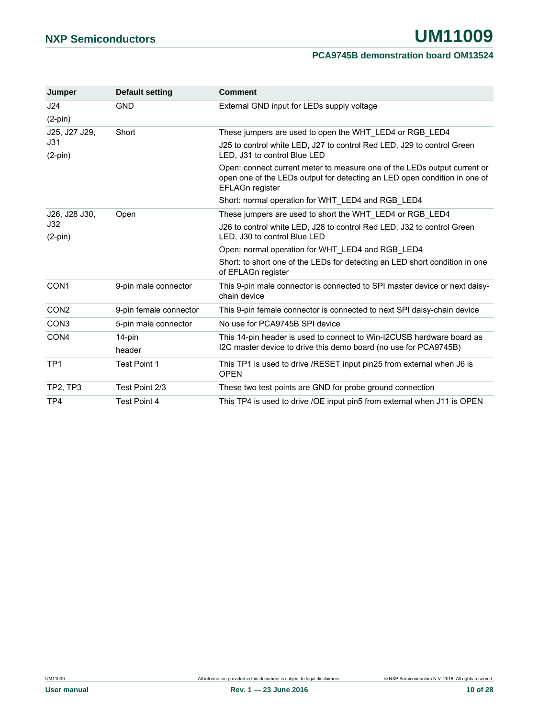| Jumper           | <b>Default setting</b> | <b>Comment</b>                                                                                                                                                           |
|------------------|------------------------|--------------------------------------------------------------------------------------------------------------------------------------------------------------------------|
| J24              | <b>GND</b>             | External GND input for LEDs supply voltage                                                                                                                               |
| $(2-pin)$        |                        |                                                                                                                                                                          |
| J25, J27 J29,    | Short                  | These jumpers are used to open the WHT_LED4 or RGB_LED4                                                                                                                  |
| J31<br>$(2-pin)$ |                        | J25 to control white LED, J27 to control Red LED, J29 to control Green<br>LED. J31 to control Blue LED                                                                   |
|                  |                        | Open: connect current meter to measure one of the LEDs output current or<br>open one of the LEDs output for detecting an LED open condition in one of<br>EFLAGn register |
|                  |                        | Short: normal operation for WHT LED4 and RGB LED4                                                                                                                        |
| J26, J28 J30,    | Open                   | These jumpers are used to short the WHT LED4 or RGB LED4                                                                                                                 |
| J32<br>$(2-pin)$ |                        | J26 to control white LED, J28 to control Red LED, J32 to control Green<br>LED, J30 to control Blue LED                                                                   |
|                  |                        | Open: normal operation for WHT LED4 and RGB LED4                                                                                                                         |
|                  |                        | Short: to short one of the LEDs for detecting an LED short condition in one<br>of EFLAGn register                                                                        |
| CON <sub>1</sub> | 9-pin male connector   | This 9-pin male connector is connected to SPI master device or next daisy-<br>chain device                                                                               |
| CON <sub>2</sub> | 9-pin female connector | This 9-pin female connector is connected to next SPI daisy-chain device                                                                                                  |
| CON <sub>3</sub> | 5-pin male connector   | No use for PCA9745B SPI device                                                                                                                                           |
| CON <sub>4</sub> | 14-pin                 | This 14-pin header is used to connect to Win-I2CUSB hardware board as                                                                                                    |
|                  | header                 | I2C master device to drive this demo board (no use for PCA9745B)                                                                                                         |
| TP <sub>1</sub>  | <b>Test Point 1</b>    | This TP1 is used to drive /RESET input pin25 from external when J6 is<br><b>OPEN</b>                                                                                     |
| TP2, TP3         | Test Point 2/3         | These two test points are GND for probe ground connection                                                                                                                |
| TP4              | <b>Test Point 4</b>    | This TP4 is used to drive /OE input pin5 from external when J11 is OPEN                                                                                                  |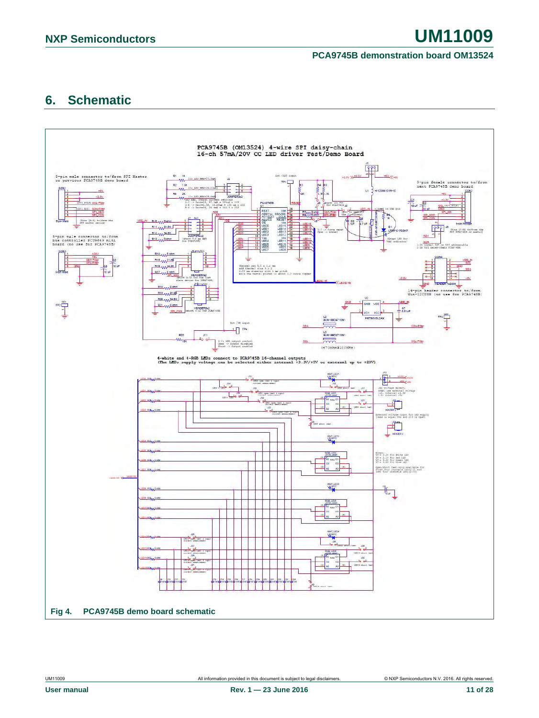### <span id="page-10-1"></span>**6. Schematic**

<span id="page-10-0"></span>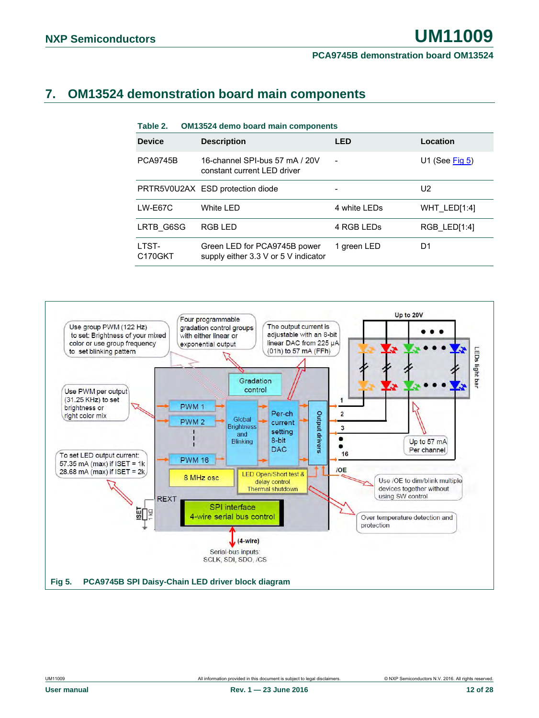### <span id="page-11-2"></span>**7. OM13524 demonstration board main components**

<span id="page-11-1"></span>

| Table 2.                      | <b>OM13524 demo board main components</b>                            |              |                   |
|-------------------------------|----------------------------------------------------------------------|--------------|-------------------|
| <b>Device</b>                 | <b>Description</b>                                                   | <b>LED</b>   | Location          |
| <b>PCA9745B</b>               | 16-channel SPI-bus 57 mA / 20V<br>constant current LED driver        |              | U1 (See $Fig 5$ ) |
|                               | PRTR5V0U2AX ESD protection diode                                     |              | U <sub>2</sub>    |
| $LW-E67C$                     | White LED                                                            | 4 white LEDs | WHT LED[1:4]      |
| LRTB G6SG                     | <b>RGB LED</b>                                                       | 4 RGB LEDs   | RGB LED[1:4]      |
| LTST-<br>C <sub>170</sub> GKT | Green LED for PCA9745B power<br>supply either 3.3 V or 5 V indicator | 1 green LED  | D <sub>1</sub>    |

<span id="page-11-0"></span>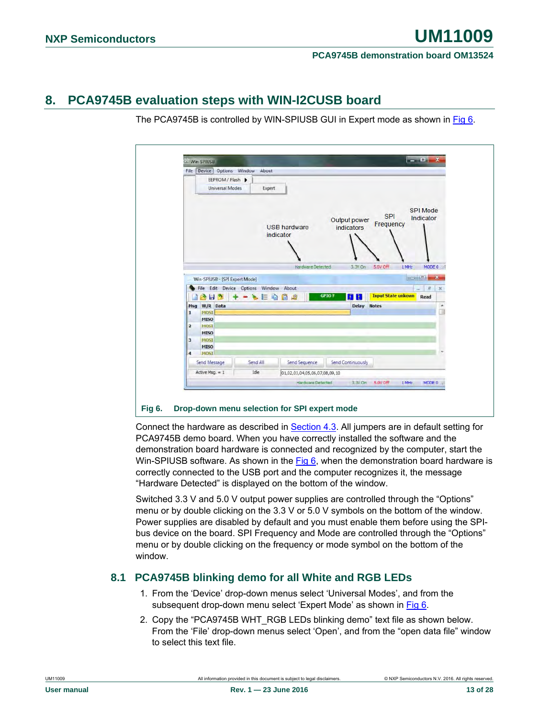### <span id="page-12-1"></span>**8. PCA9745B evaluation steps with WIN-I2CUSB board**

The PCA9745B is controlled by WIN-SPIUSB GUI in Expert mode as shown in [Fig 6.](#page-12-0)

|                         |                                | File Device Options Window About      |                                  |                            |                           |                                   |
|-------------------------|--------------------------------|---------------------------------------|----------------------------------|----------------------------|---------------------------|-----------------------------------|
|                         | EEPROM / Flash D               |                                       |                                  |                            |                           |                                   |
|                         | <b>Universal Modes</b>         | Expert                                |                                  |                            |                           |                                   |
|                         |                                |                                       | <b>USB hardware</b><br>indicator | Output power<br>indicators | <b>SPI</b><br>Frequency   | Indicator                         |
|                         |                                |                                       | Hardware Detected                | 3,3V On                    | 5.0V Off<br>$1$ MHz       | MODE 0                            |
|                         | Win-SPIUSB - [SPI Expert Mode] |                                       |                                  |                            |                           |                                   |
|                         |                                | File Edit Device Options Window About |                                  |                            |                           | $\overline{\sigma}$<br>$_{\rm x}$ |
|                         | <b>BHD</b>                     | $=$ $\omega$                          | 迪<br>G                           | <b>GPIO?</b><br><b>HIF</b> | <b>Input State unkown</b> | Read                              |
|                         | Msg W/R Data                   |                                       |                                  | Delay Notes                |                           | ۰                                 |
|                         | <b>HOST</b>                    |                                       |                                  |                            |                           | ü                                 |
| $\mathbf{I}$            | <b>MISO</b>                    |                                       |                                  |                            |                           |                                   |
|                         |                                |                                       |                                  |                            |                           |                                   |
| $\overline{2}$          | <b>MOST</b>                    |                                       |                                  |                            |                           |                                   |
|                         | <b>MISO</b>                    |                                       |                                  |                            |                           |                                   |
| $\overline{\mathbf{3}}$ | <b>MOSI</b>                    |                                       |                                  |                            |                           |                                   |
|                         | <b>MISO</b>                    |                                       |                                  |                            |                           |                                   |
| $\overline{\mathbf{4}}$ | MOST                           |                                       |                                  |                            |                           |                                   |
|                         | Send Message                   | Send All                              | <b>Send Sequence</b>             | <b>Send Continuously</b>   |                           |                                   |
|                         | Active Msg. = 1                | Idle                                  | 01,02,03,04,05,06,07,08,09,10    |                            |                           |                                   |
|                         |                                |                                       | Hardware Detected                |                            | 3,3V On 5.0V Off<br>1 MHz | MODE 0                            |

<span id="page-12-0"></span>Connect the hardware as described in Section [4.3.](#page-4-1) All jumpers are in default setting for PCA9745B demo board. When you have correctly installed the software and the demonstration board hardware is connected and recognized by the computer, start the Win-SPIUSB software. As shown in the [Fig 6,](#page-12-0) when the demonstration board hardware is correctly connected to the USB port and the computer recognizes it, the message "Hardware Detected" is displayed on the bottom of the window.

Switched 3.3 V and 5.0 V output power supplies are controlled through the "Options" menu or by double clicking on the 3.3 V or 5.0 V symbols on the bottom of the window. Power supplies are disabled by default and you must enable them before using the SPIbus device on the board. SPI Frequency and Mode are controlled through the "Options" menu or by double clicking on the frequency or mode symbol on the bottom of the window.

### <span id="page-12-2"></span>**8.1 PCA9745B blinking demo for all White and RGB LEDs**

- 1. From the 'Device' drop-down menus select 'Universal Modes', and from the subsequent drop-down menu select 'Expert Mode' as shown i[n Fig 6.](#page-12-0)
- 2. Copy the "PCA9745B WHT\_RGB LEDs blinking demo" text file as shown below. From the 'File' drop-down menus select 'Open', and from the "open data file" window to select this text file.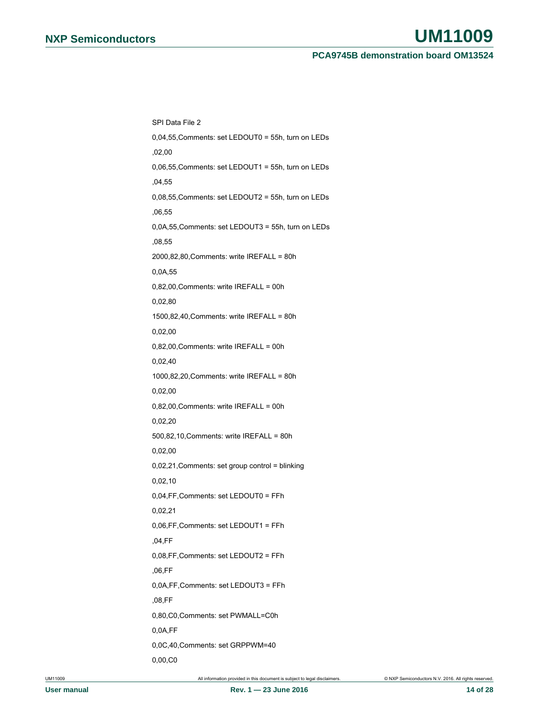# **NXP Semiconductors UM11009**

**PCA9745B demonstration board OM13524**

SPI Data File 2 0,04,55,Comments: set LEDOUT0 = 55h, turn on LEDs ,02,00 0,06,55,Comments: set LEDOUT1 = 55h, turn on LEDs ,04,55 0,08,55,Comments: set LEDOUT2 = 55h, turn on LEDs ,06,55 0,0A,55,Comments: set LEDOUT3 = 55h, turn on LEDs ,08,55 2000,82,80,Comments: write IREFALL = 80h 0,0A,55 0,82,00,Comments: write IREFALL = 00h 0,02,80 1500,82,40,Comments: write IREFALL = 80h 0,02,00 0,82,00,Comments: write IREFALL = 00h 0,02,40 1000,82,20,Comments: write IREFALL = 80h 0,02,00 0,82,00,Comments: write IREFALL = 00h 0,02,20 500,82,10,Comments: write IREFALL = 80h 0,02,00 0,02,21,Comments: set group control = blinking 0,02,10 0,04,FF,Comments: set LEDOUT0 = FFh 0,02,21 0,06,FF,Comments: set LEDOUT1 = FFh ,04,FF 0,08,FF,Comments: set LEDOUT2 = FFh ,06,FF 0,0A,FF,Comments: set LEDOUT3 = FFh ,08,FF 0,80,C0,Comments: set PWMALL=C0h 0,0A,FF 0,0C,40,Comments: set GRPPWM=40 0,00,C0

UM11009 All information provided in this document is subject to legal disclaimers. © NXP Semiconductors N.V. 2016. All rights reserved.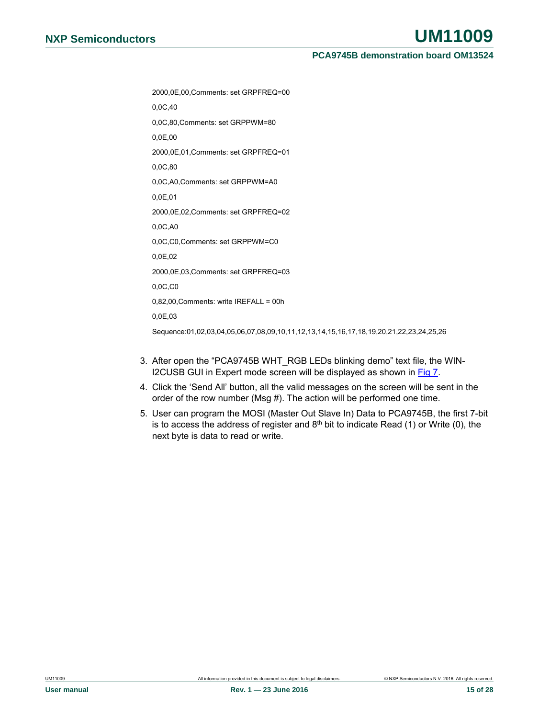2000,0E,00,Comments: set GRPFREQ=00

0,0C,40

0,0C,80,Comments: set GRPPWM=80

0,0E,00

2000,0E,01,Comments: set GRPFREQ=01

0,0C,80

0,0C,A0,Comments: set GRPPWM=A0

0,0E,01

2000,0E,02,Comments: set GRPFREQ=02

0,0C,A0

0,0C,C0,Comments: set GRPPWM=C0

0,0E,02

2000,0E,03,Comments: set GRPFREQ=03

0,0C,C0

0,82,00,Comments: write IREFALL = 00h

0,0E,03

Sequence:01,02,03,04,05,06,07,08,09,10,11,12,13,14,15,16,17,18,19,20,21,22,23,24,25,26

- 3. After open the "PCA9745B WHT\_RGB LEDs blinking demo" text file, the WIN-I2CUSB GUI in Expert mode screen will be displayed as shown in [Fig 7.](#page-15-0)
- 4. Click the 'Send All' button, all the valid messages on the screen will be sent in the order of the row number (Msg #). The action will be performed one time.
- 5. User can program the MOSI (Master Out Slave In) Data to PCA9745B, the first 7-bit is to access the address of register and  $8<sup>th</sup>$  bit to indicate Read (1) or Write (0), the next byte is data to read or write.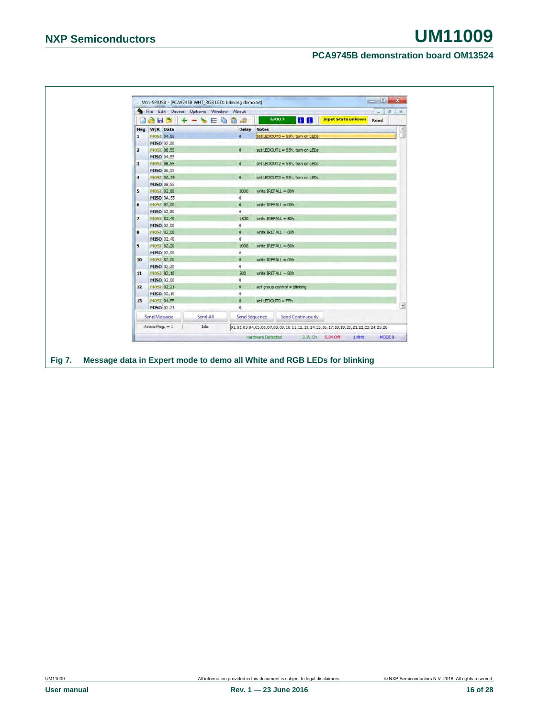<span id="page-15-0"></span>

|                     | 18 H 9 + - > E Q 8 4 |          | File Edit Device Options Window About |                     | GPIO ?                           | <b>HE</b> | <b>Input State unkown</b>                                                     | $-1$ $E$ X<br>Read |  |
|---------------------|----------------------|----------|---------------------------------------|---------------------|----------------------------------|-----------|-------------------------------------------------------------------------------|--------------------|--|
| Msg                 | W/R Data             |          |                                       | <b>Delay Notes</b>  |                                  |           |                                                                               |                    |  |
| 1                   | MOSI 04,55           |          | $\mathbf{0}$                          |                     | set LEDOUTO = 55h, turn on LEDs  |           |                                                                               |                    |  |
|                     | MISO 02,00           |          |                                       |                     |                                  |           |                                                                               |                    |  |
| $\overline{2}$      | MOSI 06,55           |          | $\overline{0}$                        |                     | set LEDOUT1 = 55h, turn on LEDs  |           |                                                                               |                    |  |
|                     | <b>MISO 04,55</b>    |          |                                       |                     |                                  |           |                                                                               |                    |  |
| 3                   | MOSI 08,55           |          | $\circ$                               |                     | set LEDOUT2 = 55h, turn on LEDs  |           |                                                                               |                    |  |
|                     | MISO 06,55           |          |                                       |                     |                                  |           |                                                                               |                    |  |
| $\overline{\bf{4}}$ | <b>MOST 0A.55</b>    |          | $\mathfrak{a}$                        |                     | set LEDOLIT3 = 55h, turn on LEDs |           |                                                                               |                    |  |
|                     | MISO 08,55           |          |                                       |                     |                                  |           |                                                                               |                    |  |
| $5-$                | MOST 82,80           |          | 2000                                  |                     | write IREFALL = 80h              |           |                                                                               |                    |  |
|                     | MISO 0A,55           |          | $\circ$                               |                     |                                  |           |                                                                               |                    |  |
| 6                   | MOST 82,00           |          | $\mathbf{0}$                          |                     | write IREFALL = 00h              |           |                                                                               |                    |  |
|                     | MISO 02,80           |          | $\circ$                               |                     |                                  |           |                                                                               |                    |  |
| $\overline{z}$      | MOSI 82,40           |          | 1500                                  |                     | write IREFALL = 80h              |           |                                                                               |                    |  |
|                     | MISO 02,00           |          | $\circ$                               |                     |                                  |           |                                                                               |                    |  |
| 8                   | MOST 82,00           |          | $\overline{0}$                        |                     | write IREFALL = 00h              |           |                                                                               |                    |  |
|                     | MISO 02,40           |          | $\mathbf{0}$                          |                     |                                  |           |                                                                               |                    |  |
| 9                   | MOST 82,20           |          | 1000                                  |                     | write IREFALL = 80h              |           |                                                                               |                    |  |
|                     | MISO 02,00           |          | $\mathbf{0}$                          |                     |                                  |           |                                                                               |                    |  |
| 10                  | MOSI 82,00           |          | $\Omega$                              | write IREFALL = 00h |                                  |           |                                                                               |                    |  |
|                     | MISO 02,20           |          | $\mathbb O$                           |                     |                                  |           |                                                                               |                    |  |
| 11                  | MOST 82,10           |          | 500                                   |                     | write IREFALL = 80h              |           |                                                                               |                    |  |
|                     | MISO 02,00           |          | $\alpha$                              |                     |                                  |           |                                                                               |                    |  |
| 12                  | MOST 02,21           |          | $\alpha$                              |                     | set group control = blinking     |           |                                                                               |                    |  |
|                     | MISO 02,10           |          | $\circ$                               |                     |                                  |           |                                                                               |                    |  |
| 13                  | MOSI 04,FF           |          | Ø.                                    | set LEDOUTO = FFh   |                                  |           |                                                                               |                    |  |
|                     | MISO 02.21           |          | $\mathbf{0}$                          |                     |                                  |           |                                                                               |                    |  |
|                     | Send Message         | Send All | Send Sequence                         |                     | Send Continuously                |           |                                                                               |                    |  |
|                     | Active Msg. = 1      | Ide      |                                       |                     |                                  |           | 01,02,03,04,05,06,07,08,09,10,11,12,13,14,15,16,17,18,19,20,21,22,23,24,25,26 |                    |  |
|                     |                      |          |                                       |                     |                                  |           | Hardware Detected 3.3V On 5.0V Off 1 MHz                                      | MODE 0             |  |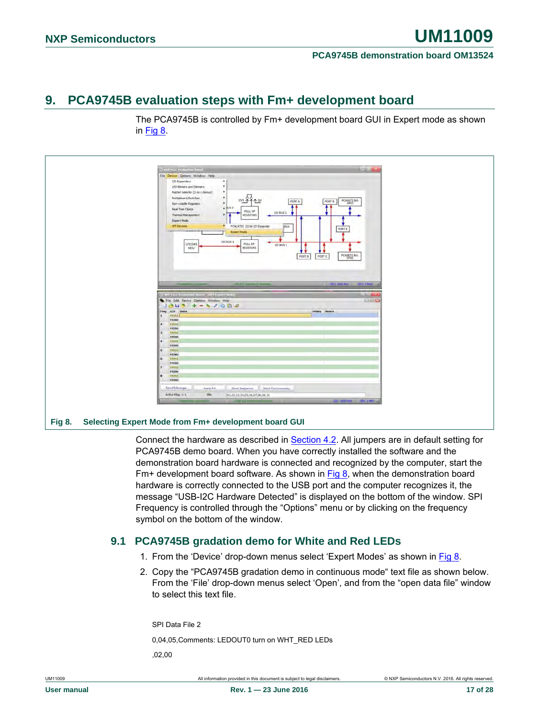### <span id="page-16-1"></span>**9. PCA9745B evaluation steps with Fm+ development board**





<span id="page-16-0"></span>Connect the hardware as described in Section [4.2.](#page-3-0) All jumpers are in default setting for

PCA9745B demo board. When you have correctly installed the software and the demonstration board hardware is connected and recognized by the computer, start the  $Fm+$  development board software. As shown in  $Fig 8$ , when the demonstration board hardware is correctly connected to the USB port and the computer recognizes it, the message "USB-I2C Hardware Detected" is displayed on the bottom of the window. SPI Frequency is controlled through the "Options" menu or by clicking on the frequency symbol on the bottom of the window.

### <span id="page-16-2"></span>**9.1 PCA9745B gradation demo for White and Red LEDs**

- 1. From the 'Device' drop-down menus select 'Expert Modes' as shown in [Fig 8.](#page-16-0)
- 2. Copy the "PCA9745B gradation demo in continuous mode" text file as shown below. From the 'File' drop-down menus select 'Open', and from the "open data file" window to select this text file.

SPI Data File 2 0,04,05,Comments: LEDOUT0 turn on WHT\_RED LEDs ,02,00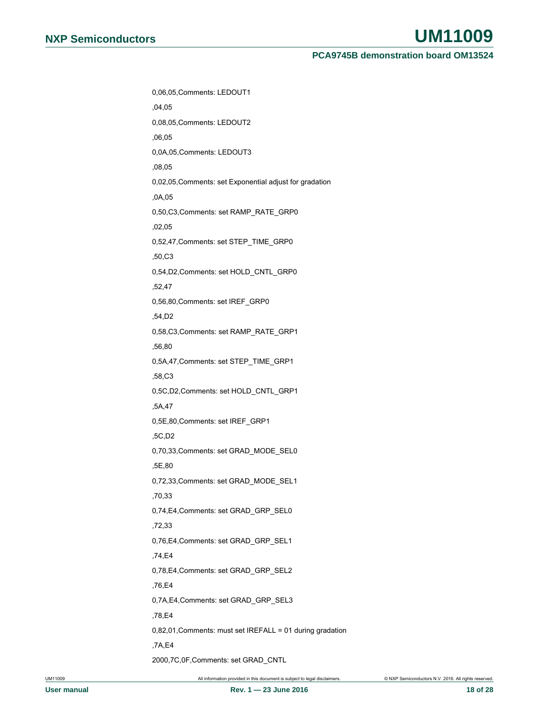| 0,06,05, Comments: LEDOUT1                                |
|-----------------------------------------------------------|
| ,04,05                                                    |
| 0,08,05, Comments: LEDOUT2                                |
| ,06,05                                                    |
| 0,0A,05, Comments: LEDOUT3                                |
| ,08,05                                                    |
| 0,02,05, Comments: set Exponential adjust for gradation   |
| ,0A.05                                                    |
| 0,50,C3,Comments: set RAMP_RATE_GRP0                      |
| ,02,05                                                    |
| 0,52,47, Comments: set STEP_TIME_GRP0                     |
| ,50,C3                                                    |
| 0,54, D2, Comments: set HOLD_CNTL_GRP0                    |
| ,52,47                                                    |
| 0,56,80, Comments: set IREF_GRP0                          |
| ,54,D2                                                    |
| 0,58,C3,Comments: set RAMP_RATE_GRP1                      |
| ,56,80                                                    |
| 0,5A,47, Comments: set STEP_TIME_GRP1                     |
| ,58,C3                                                    |
| 0,5C,D2,Comments: set HOLD_CNTL_GRP1                      |
| ,5A,47                                                    |
| 0,5E,80, Comments: set IREF_GRP1                          |
| ,5C,D2                                                    |
| 0,70,33, Comments: set GRAD_MODE_SEL0                     |
| ,5E,80                                                    |
| 0,72,33, Comments: set GRAD_MODE_SEL1                     |
| ,70,33                                                    |
| 0,74,E4,Comments: set GRAD_GRP_SEL0                       |
| ,72,33                                                    |
| 0,76,E4, Comments: set GRAD_GRP_SEL1                      |
| ,74,E4                                                    |
| 0,78,E4, Comments: set GRAD_GRP_SEL2                      |
| ,76,E4                                                    |
| 0,7A,E4,Comments: set GRAD_GRP_SEL3                       |
| ,78,E4                                                    |
| 0,82,01, Comments: must set IREFALL = 01 during gradation |
| ,7A,E4                                                    |
| 2000, 7C, 0F, Comments: set GRAD_CNTL                     |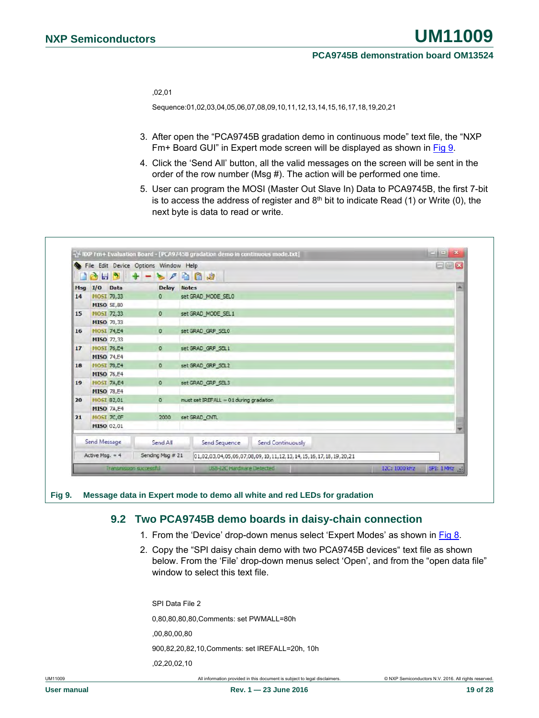,02,01

Sequence:01,02,03,04,05,06,07,08,09,10,11,12,13,14,15,16,17,18,19,20,21

- 3. After open the "PCA9745B gradation demo in continuous mode" text file, the "NXP Fm+ Board GUI" in Expert mode screen will be displayed as shown in [Fig 9.](#page-18-0)
- 4. Click the 'Send All' button, all the valid messages on the screen will be sent in the order of the row number (Msg #). The action will be performed one time.
- 5. User can program the MOSI (Master Out Slave In) Data to PCA9745B, the first 7-bit is to access the address of register and  $8<sup>th</sup>$  bit to indicate Read (1) or Write (0), the next byte is data to read or write.

|                  |                   | File Edit Device Options Window Help |                    |                                                                | <b>OWX</b> |  |  |  |  |  |  |
|------------------|-------------------|--------------------------------------|--------------------|----------------------------------------------------------------|------------|--|--|--|--|--|--|
|                  | Msg I/O Data      |                                      | <b>Delay Notes</b> |                                                                | ٠          |  |  |  |  |  |  |
| 14               | MOSI 70,33        |                                      | $\circ$            | set GRAD_MODE_SEL0                                             |            |  |  |  |  |  |  |
|                  |                   | <b>MISO 5E,80</b>                    |                    |                                                                |            |  |  |  |  |  |  |
| 15               | MOSI 72,33        |                                      | $\circ$            | set GRAD_MODE_SEL1                                             |            |  |  |  |  |  |  |
|                  |                   | MISO 70,33                           |                    |                                                                |            |  |  |  |  |  |  |
| 16               | <b>MOST 74,E4</b> |                                      | $\mathbf{0}$       | set GRAD_GRP_SELO                                              |            |  |  |  |  |  |  |
|                  |                   | MISO 72,33                           |                    |                                                                |            |  |  |  |  |  |  |
| 17 <sup>17</sup> | <b>MOST 76,E4</b> |                                      | $\circ$            | set GRAD GRP SEL1                                              |            |  |  |  |  |  |  |
|                  |                   | <b>MISO 74,E4</b>                    |                    |                                                                |            |  |  |  |  |  |  |
| 18               | <b>MOST 78,E4</b> |                                      | $\circ$            | set GRAD GRP SEL2                                              |            |  |  |  |  |  |  |
|                  |                   | <b>MISO 76,E4</b>                    |                    |                                                                |            |  |  |  |  |  |  |
| 19               | <b>MOST 7A,E4</b> |                                      | $\circ$            | set GRAD_GRP_SEL3                                              |            |  |  |  |  |  |  |
|                  |                   | <b>MISO 78,E4</b>                    |                    |                                                                |            |  |  |  |  |  |  |
| 20               | MOSI 82,01        |                                      | $\sigma$           | must set IREFALL = 01 during gradation                         |            |  |  |  |  |  |  |
|                  |                   | <b>MISO 7A,E4</b>                    |                    |                                                                |            |  |  |  |  |  |  |
| 21               | MOST 7C, OF       |                                      | 2000               | set GRAD_CNTL                                                  |            |  |  |  |  |  |  |
|                  |                   | MISO 02,01                           |                    |                                                                |            |  |  |  |  |  |  |
|                  | Send Message      |                                      | Send All           | Send Continuously<br>Send Sequence                             |            |  |  |  |  |  |  |
|                  | Active Msg. $= 4$ |                                      | Sending Msg # 21   | 01,02,03,04,05,06,07,08,09,10,11,12,13,14,15,16,17,18,19,20,21 |            |  |  |  |  |  |  |
|                  |                   | Transmission successful              |                    | I2C: 1000 kHz<br>USB-12C Hardware Defected                     | SPI: 1 MHz |  |  |  |  |  |  |

#### <span id="page-18-0"></span>**Fig 9. Message data in Expert mode to demo all white and red LEDs for gradation**

### <span id="page-18-1"></span>**9.2 Two PCA9745B demo boards in daisy-chain connection**

- 1. From the 'Device' drop-down menus select 'Expert Modes' as shown in [Fig 8.](#page-16-0)
- 2. Copy the "SPI daisy chain demo with two PCA9745B devices" text file as shown below. From the 'File' drop-down menus select 'Open', and from the "open data file" window to select this text file.

SPI Data File 2 0,80,80,80,80,Comments: set PWMALL=80h ,00,80,00,80 900,82,20,82,10,Comments: set IREFALL=20h, 10h ,02,20,02,10

UM11009 All information provided in this document is subject to legal disclaimers. © NXP Semiconductors N.V. 2016. All rights reserved.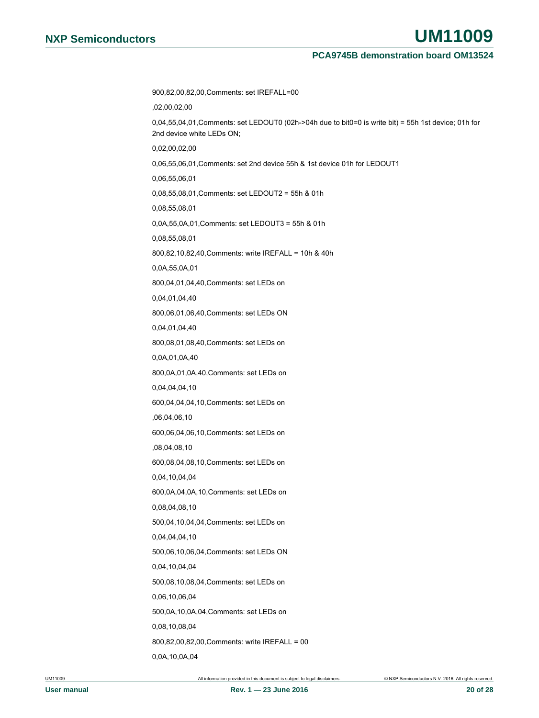900,82,00,82,00,Comments: set IREFALL=00 ,02,00,02,00 0,04,55,04,01,Comments: set LEDOUT0 (02h->04h due to bit0=0 is write bit) = 55h 1st device; 01h for 2nd device white LEDs ON; 0,02,00,02,00 0,06,55,06,01,Comments: set 2nd device 55h & 1st device 01h for LEDOUT1 0,06,55,06,01 0,08,55,08,01,Comments: set LEDOUT2 = 55h & 01h 0,08,55,08,01 0,0A,55,0A,01,Comments: set LEDOUT3 = 55h & 01h 0,08,55,08,01 800,82,10,82,40,Comments: write IREFALL = 10h & 40h 0,0A,55,0A,01 800,04,01,04,40,Comments: set LEDs on 0,04,01,04,40 800,06,01,06,40,Comments: set LEDs ON 0,04,01,04,40 800,08,01,08,40,Comments: set LEDs on 0,0A,01,0A,40 800,0A,01,0A,40,Comments: set LEDs on 0,04,04,04,10 600,04,04,04,10,Comments: set LEDs on ,06,04,06,10 600,06,04,06,10,Comments: set LEDs on ,08,04,08,10 600,08,04,08,10,Comments: set LEDs on 0,04,10,04,04 600,0A,04,0A,10,Comments: set LEDs on 0,08,04,08,10 500,04,10,04,04,Comments: set LEDs on 0,04,04,04,10 500,06,10,06,04,Comments: set LEDs ON 0,04,10,04,04 500,08,10,08,04,Comments: set LEDs on 0,06,10,06,04 500,0A,10,0A,04,Comments: set LEDs on 0,08,10,08,04 800,82,00,82,00,Comments: write IREFALL = 00 0,0A,10,0A,04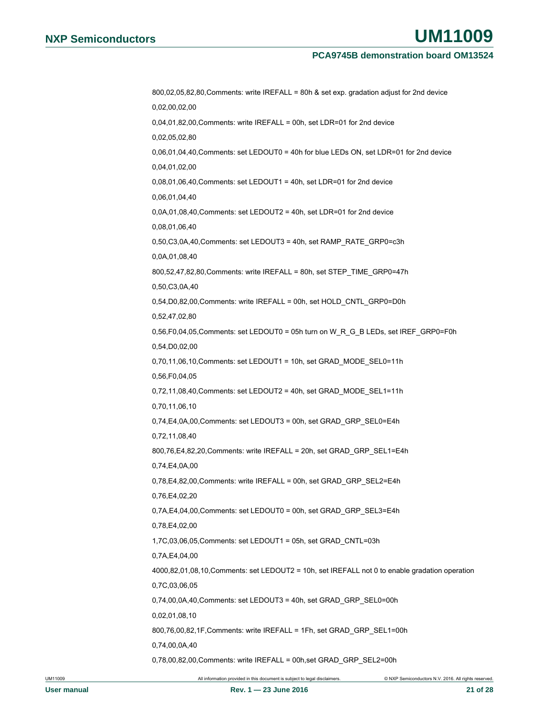# **NXP Semiconductors UM11009**

#### **PCA9745B demonstration board OM13524**

800,02,05,82,80,Comments: write IREFALL = 80h & set exp. gradation adjust for 2nd device 0,02,00,02,00 0,04,01,82,00,Comments: write IREFALL = 00h, set LDR=01 for 2nd device 0,02,05,02,80 0,06,01,04,40,Comments: set LEDOUT0 = 40h for blue LEDs ON, set LDR=01 for 2nd device 0,04,01,02,00 0,08,01,06,40,Comments: set LEDOUT1 = 40h, set LDR=01 for 2nd device 0,06,01,04,40 0,0A,01,08,40,Comments: set LEDOUT2 = 40h, set LDR=01 for 2nd device 0,08,01,06,40 0,50,C3,0A,40,Comments: set LEDOUT3 = 40h, set RAMP\_RATE\_GRP0=c3h 0,0A,01,08,40 800,52,47,82,80,Comments: write IREFALL = 80h, set STEP\_TIME\_GRP0=47h 0,50,C3,0A,40 0,54,D0,82,00,Comments: write IREFALL = 00h, set HOLD\_CNTL\_GRP0=D0h 0,52,47,02,80 0,56,F0,04,05,Comments: set LEDOUT0 = 05h turn on W\_R\_G\_B LEDs, set IREF\_GRP0=F0h 0,54,D0,02,00 0,70,11,06,10,Comments: set LEDOUT1 = 10h, set GRAD\_MODE\_SEL0=11h 0,56,F0,04,05 0,72,11,08,40,Comments: set LEDOUT2 = 40h, set GRAD\_MODE\_SEL1=11h 0,70,11,06,10 0,74,E4,0A,00,Comments: set LEDOUT3 = 00h, set GRAD\_GRP\_SEL0=E4h 0,72,11,08,40 800,76,E4,82,20,Comments: write IREFALL = 20h, set GRAD\_GRP\_SEL1=E4h 0,74,E4,0A,00 0,78,E4,82,00,Comments: write IREFALL = 00h, set GRAD\_GRP\_SEL2=E4h 0,76,E4,02,20 0,7A,E4,04,00,Comments: set LEDOUT0 = 00h, set GRAD\_GRP\_SEL3=E4h 0,78,E4,02,00 1,7C,03,06,05,Comments: set LEDOUT1 = 05h, set GRAD\_CNTL=03h 0,7A,E4,04,00 4000,82,01,08,10,Comments: set LEDOUT2 = 10h, set IREFALL not 0 to enable gradation operation 0,7C,03,06,05 0,74,00,0A,40,Comments: set LEDOUT3 = 40h, set GRAD\_GRP\_SEL0=00h 0,02,01,08,10 800,76,00,82,1F,Comments: write IREFALL = 1Fh, set GRAD\_GRP\_SEL1=00h 0,74,00,0A,40 0,78,00,82,00,Comments: write IREFALL = 00h,set GRAD\_GRP\_SEL2=00h

UM11009 All information provided in this document is subject to legal disclaimers. © NXP Semiconductors N.V. 2016. All rights reserved.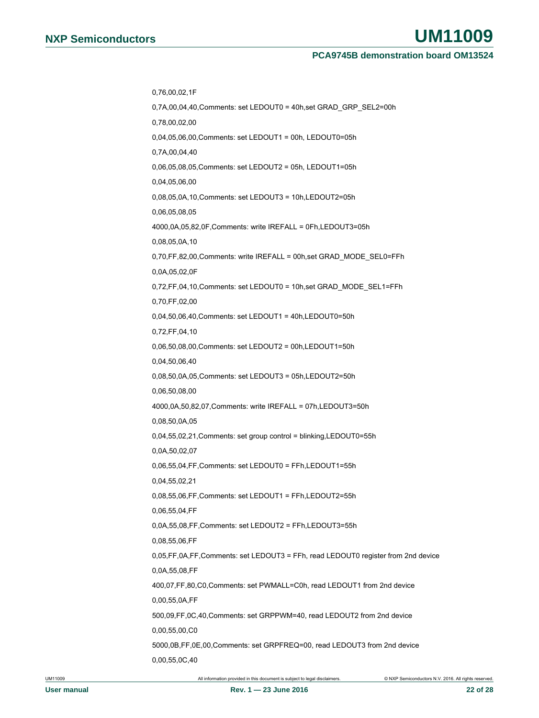0,76,00,02,1F 0,7A,00,04,40,Comments: set LEDOUT0 = 40h,set GRAD\_GRP\_SEL2=00h 0,78,00,02,00 0,04,05,06,00,Comments: set LEDOUT1 = 00h, LEDOUT0=05h 0,7A,00,04,40 0,06,05,08,05,Comments: set LEDOUT2 = 05h, LEDOUT1=05h 0,04,05,06,00 0,08,05,0A,10,Comments: set LEDOUT3 = 10h,LEDOUT2=05h 0,06,05,08,05 4000,0A,05,82,0F,Comments: write IREFALL = 0Fh,LEDOUT3=05h 0,08,05,0A,10 0,70,FF,82,00,Comments: write IREFALL = 00h,set GRAD\_MODE\_SEL0=FFh 0,0A,05,02,0F 0,72,FF,04,10,Comments: set LEDOUT0 = 10h,set GRAD\_MODE\_SEL1=FFh 0,70,FF,02,00 0,04,50,06,40,Comments: set LEDOUT1 = 40h,LEDOUT0=50h 0,72,FF,04,10 0,06,50,08,00,Comments: set LEDOUT2 = 00h,LEDOUT1=50h 0,04,50,06,40 0,08,50,0A,05,Comments: set LEDOUT3 = 05h,LEDOUT2=50h 0,06,50,08,00 4000,0A,50,82,07,Comments: write IREFALL = 07h,LEDOUT3=50h 0,08,50,0A,05 0,04,55,02,21,Comments: set group control = blinking,LEDOUT0=55h 0,0A,50,02,07 0,06,55,04,FF,Comments: set LEDOUT0 = FFh,LEDOUT1=55h 0,04,55,02,21 0,08,55,06,FF,Comments: set LEDOUT1 = FFh,LEDOUT2=55h 0,06,55,04,FF 0,0A,55,08,FF,Comments: set LEDOUT2 = FFh,LEDOUT3=55h 0,08,55,06,FF 0,05,FF,0A,FF,Comments: set LEDOUT3 = FFh, read LEDOUT0 register from 2nd device 0,0A,55,08,FF 400,07,FF,80,C0,Comments: set PWMALL=C0h, read LEDOUT1 from 2nd device 0,00,55,0A,FF 500,09,FF,0C,40,Comments: set GRPPWM=40, read LEDOUT2 from 2nd device 0,00,55,00,C0 5000,0B,FF,0E,00,Comments: set GRPFREQ=00, read LEDOUT3 from 2nd device 0,00,55,0C,40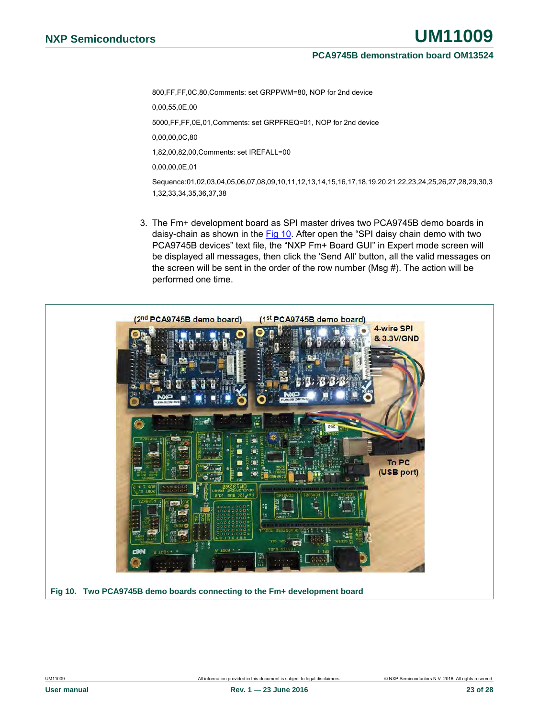800,FF,FF,0C,80,Comments: set GRPPWM=80, NOP for 2nd device 0,00,55,0E,00 5000,FF,FF,0E,01,Comments: set GRPFREQ=01, NOP for 2nd device 0,00,00,0C,80 1,82,00,82,00,Comments: set IREFALL=00 0,00,00,0E,01 Sequence:01,02,03,04,05,06,07,08,09,10,11,12,13,14,15,16,17,18,19,20,21,22,23,24,25,26,27,28,29,30,3 1,32,33,34,35,36,37,38

3. The Fm+ development board as SPI master drives two PCA9745B demo boards in daisy-chain as shown in the [Fig 10.](#page-22-0) After open the "SPI daisy chain demo with two PCA9745B devices" text file, the "NXP Fm+ Board GUI" in Expert mode screen will be displayed all messages, then click the 'Send All' button, all the valid messages on the screen will be sent in the order of the row number (Msg #). The action will be performed one time.



<span id="page-22-0"></span>**Fig 10. Two PCA9745B demo boards connecting to the Fm+ development board**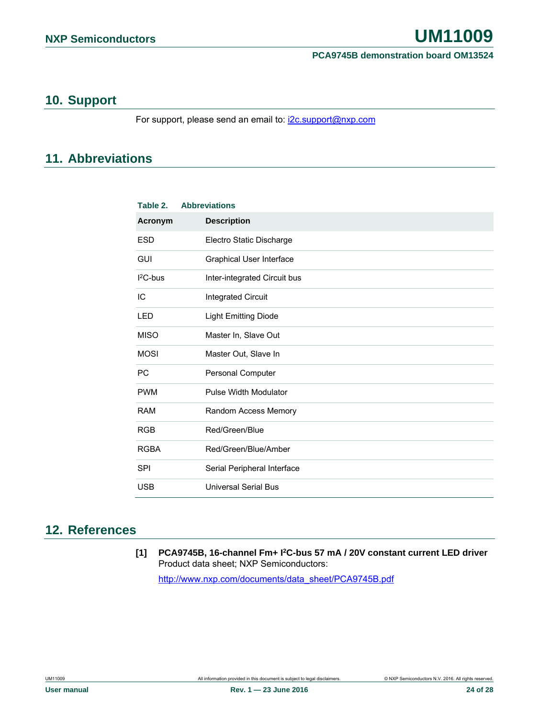### <span id="page-23-0"></span>**10. Support**

For support, please send an email to: [i2c.support@nxp.com](mailto:i2c.support@nxp.com)

### <span id="page-23-1"></span>**11. Abbreviations**

| Table 2.    | <b>Abbreviations</b>            |
|-------------|---------------------------------|
| Acronym     | <b>Description</b>              |
| <b>ESD</b>  | Electro Static Discharge        |
| <b>GUI</b>  | <b>Graphical User Interface</b> |
| $I2C-bus$   | Inter-integrated Circuit bus    |
| IC          | <b>Integrated Circuit</b>       |
| LED         | <b>Light Emitting Diode</b>     |
| <b>MISO</b> | Master In, Slave Out            |
| <b>MOSI</b> | Master Out, Slave In            |
| <b>PC</b>   | Personal Computer               |
| <b>PWM</b>  | <b>Pulse Width Modulator</b>    |
| <b>RAM</b>  | Random Access Memory            |
| <b>RGB</b>  | Red/Green/Blue                  |
| <b>RGBA</b> | Red/Green/Blue/Amber            |
| <b>SPI</b>  | Serial Peripheral Interface     |
| <b>USB</b>  | <b>Universal Serial Bus</b>     |
|             |                                 |

### <span id="page-23-2"></span>**12. References**

**[1] PCA9745B, 16-channel Fm+ I2C-bus 57 mA / 20V constant current LED driver** Product data sheet; NXP Semiconductors: [http://www.nxp.com/documents/data\\_sheet/PCA9745B.pdf](http://www.nxp.com/documents/data_sheet/PCA9745B.pdf)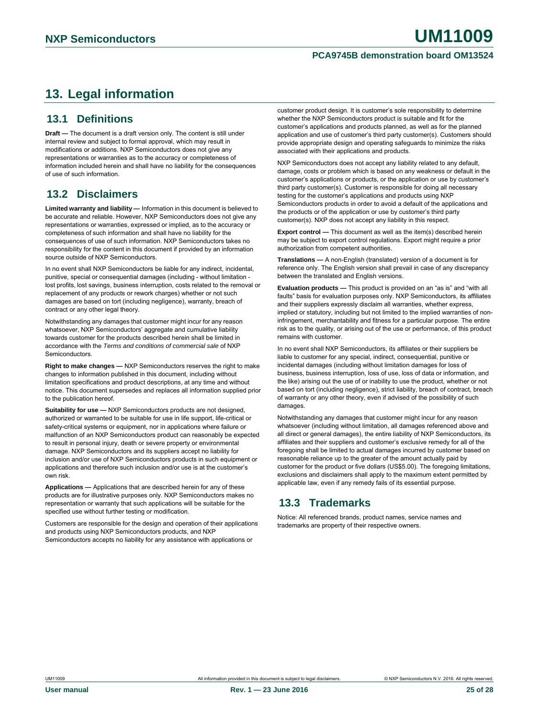### <span id="page-24-0"></span>**13. Legal information**

### <span id="page-24-1"></span>**13.1 Definitions**

**Draft —** The document is a draft version only. The content is still under internal review and subject to formal approval, which may result in modifications or additions. NXP Semiconductors does not give any representations or warranties as to the accuracy or completeness of information included herein and shall have no liability for the consequences of use of such information.

### <span id="page-24-2"></span>**13.2 Disclaimers**

**Limited warranty and liability —** Information in this document is believed to be accurate and reliable. However, NXP Semiconductors does not give any representations or warranties, expressed or implied, as to the accuracy or completeness of such information and shall have no liability for the consequences of use of such information. NXP Semiconductors takes no responsibility for the content in this document if provided by an information source outside of NXP Semiconductors.

In no event shall NXP Semiconductors be liable for any indirect, incidental, punitive, special or consequential damages (including - without limitation lost profits, lost savings, business interruption, costs related to the removal or replacement of any products or rework charges) whether or not such damages are based on tort (including negligence), warranty, breach of contract or any other legal theory.

Notwithstanding any damages that customer might incur for any reason whatsoever, NXP Semiconductors' aggregate and cumulative liability towards customer for the products described herein shall be limited in accordance with the *Terms and conditions of commercial sale* of NXP **Semiconductors** 

**Right to make changes —** NXP Semiconductors reserves the right to make changes to information published in this document, including without limitation specifications and product descriptions, at any time and without notice. This document supersedes and replaces all information supplied prior to the publication hereof.

**Suitability for use —** NXP Semiconductors products are not designed, authorized or warranted to be suitable for use in life support, life-critical or safety-critical systems or equipment, nor in applications where failure or malfunction of an NXP Semiconductors product can reasonably be expected to result in personal injury, death or severe property or environmental damage. NXP Semiconductors and its suppliers accept no liability for inclusion and/or use of NXP Semiconductors products in such equipment or applications and therefore such inclusion and/or use is at the customer's own risk.

**Applications —** Applications that are described herein for any of these products are for illustrative purposes only. NXP Semiconductors makes no representation or warranty that such applications will be suitable for the specified use without further testing or modification.

Customers are responsible for the design and operation of their applications and products using NXP Semiconductors products, and NXP Semiconductors accepts no liability for any assistance with applications or

customer product design. It is customer's sole responsibility to determine whether the NXP Semiconductors product is suitable and fit for the customer's applications and products planned, as well as for the planned application and use of customer's third party customer(s). Customers should provide appropriate design and operating safeguards to minimize the risks associated with their applications and products.

NXP Semiconductors does not accept any liability related to any default, damage, costs or problem which is based on any weakness or default in the customer's applications or products, or the application or use by customer's third party customer(s). Customer is responsible for doing all necessary testing for the customer's applications and products using NXP Semiconductors products in order to avoid a default of the applications and the products or of the application or use by customer's third party customer(s). NXP does not accept any liability in this respect.

**Export control —** This document as well as the item(s) described herein may be subject to export control regulations. Export might require a prior authorization from competent authorities.

**Translations —** A non-English (translated) version of a document is for reference only. The English version shall prevail in case of any discrepancy between the translated and English versions.

**Evaluation products —** This product is provided on an "as is" and "with all faults" basis for evaluation purposes only. NXP Semiconductors, its affiliates and their suppliers expressly disclaim all warranties, whether express, implied or statutory, including but not limited to the implied warranties of noninfringement, merchantability and fitness for a particular purpose. The entire risk as to the quality, or arising out of the use or performance, of this product remains with customer.

In no event shall NXP Semiconductors, its affiliates or their suppliers be liable to customer for any special, indirect, consequential, punitive or incidental damages (including without limitation damages for loss of business, business interruption, loss of use, loss of data or information, and the like) arising out the use of or inability to use the product, whether or not based on tort (including negligence), strict liability, breach of contract, breach of warranty or any other theory, even if advised of the possibility of such damages.

Notwithstanding any damages that customer might incur for any reason whatsoever (including without limitation, all damages referenced above and all direct or general damages), the entire liability of NXP Semiconductors, its affiliates and their suppliers and customer's exclusive remedy for all of the foregoing shall be limited to actual damages incurred by customer based on reasonable reliance up to the greater of the amount actually paid by customer for the product or five dollars (US\$5.00). The foregoing limitations, exclusions and disclaimers shall apply to the maximum extent permitted by applicable law, even if any remedy fails of its essential purpose.

### <span id="page-24-3"></span>**13.3 Trademarks**

Notice: All referenced brands, product names, service names and trademarks are property of their respective owners.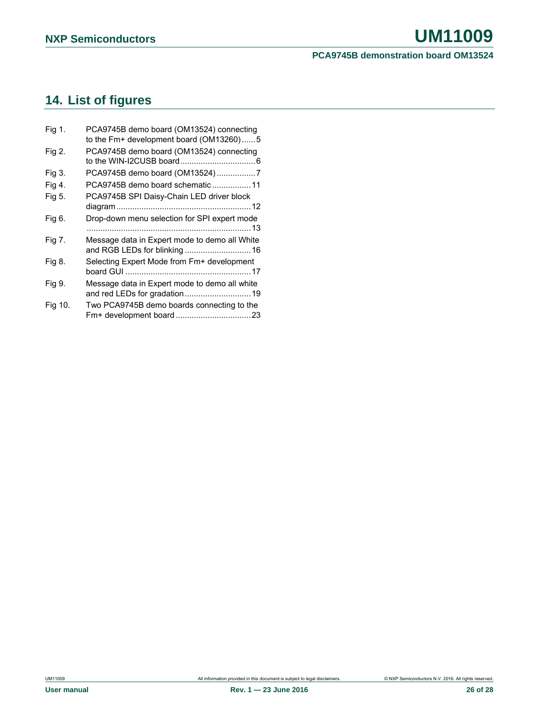### <span id="page-25-0"></span>**14. List of figures**

| Fig 1.  | PCA9745B demo board (OM13524) connecting      |
|---------|-----------------------------------------------|
|         | to the Fm+ development board (OM13260)5       |
| Fig 2.  | PCA9745B demo board (OM13524) connecting      |
|         |                                               |
| Fig 3.  | PCA9745B demo board (OM13524)7                |
| Fig 4.  | PCA9745B demo board schematic 11              |
| Fig 5.  | PCA9745B SPI Daisy-Chain LED driver block     |
|         |                                               |
| Fig 6.  | Drop-down menu selection for SPI expert mode  |
|         |                                               |
| Fig 7.  | Message data in Expert mode to demo all White |
|         | and RGB LEDs for blinking  16                 |
| Fig 8.  | Selecting Expert Mode from Fm+ development    |
|         |                                               |
| Fig 9.  | Message data in Expert mode to demo all white |
|         | and red LEDs for gradation 19                 |
| Fig 10. | Two PCA9745B demo boards connecting to the    |
|         |                                               |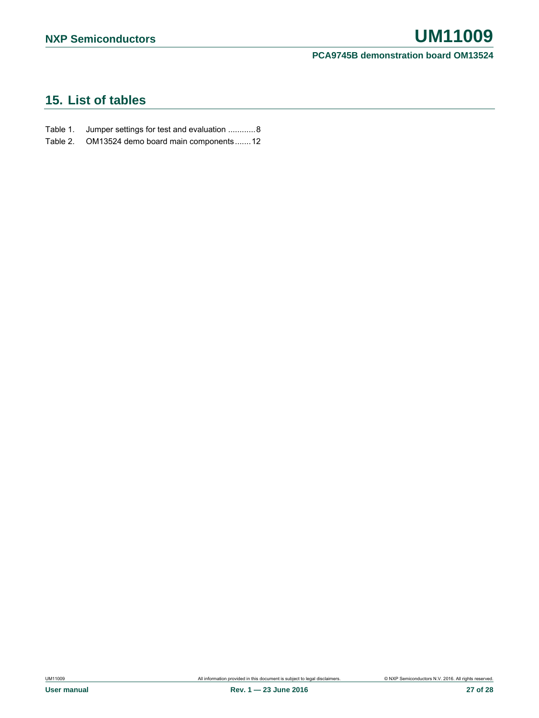### <span id="page-26-0"></span>**15. List of tables**

- Table 1. [Jumper settings for test and evaluation](#page-7-0) ............ 8
- Table 2. [OM13524 demo board main components](#page-11-1) .......12